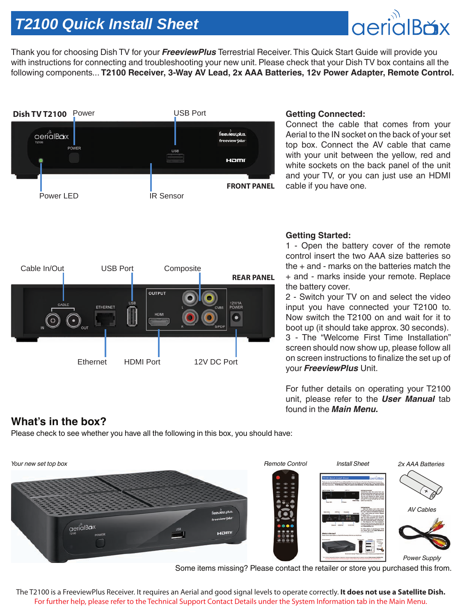# *T2100 Quick Install Sheet*

Thank you for choosing Dish TV for your *FreeviewPlus* Terrestrial Receiver. This Quick Start Guide will provide you with instructions for connecting and troubleshooting your new unit. Please check that your Dish TV box contains all the following components... **T2100 Receiver, 3-Way AV Lead, 2x AAA Batteries, 12v Power Adapter, Remote Control.**



#### **Getting Connected:**

Connect the cable that comes from your Aerial to the IN socket on the back of your set top box. Connect the AV cable that came with your unit between the yellow, red and white sockets on the back panel of the unit and your TV, or you can just use an HDMI cable if you have one.



### **Getting Started:**

1 - Open the battery cover of the remote control insert the two AAA size batteries so the + and - marks on the batteries match the + and - marks inside your remote. Replace the battery cover.

2 - Switch your TV on and select the video input you have connected your T2100 to. Now switch the T2100 on and wait for it to boot up (it should take approx. 30 seconds). 3 - The "Welcome First Time Installation" screen should now show up, please follow all

on screen instructions to finalize the set up of your *FreeviewPlus* Unit.

For futher details on operating your T2100 unit, please refer to the *User Manual* tab found in the *Main Menu.*

## **What's in the box?**

Please check to see whether you have all the following in this box, you should have:



Some items missing? Please contact the retailer or store you purchased this from.

The T2100 is a FreeviewPlus Receiver. It requires an Aerial and good signal levels to operate correctly. **It does not use a Satellite Dish.** For further help, please refer to the Technical Support Contact Details under the System Information tab in the Main Menu.